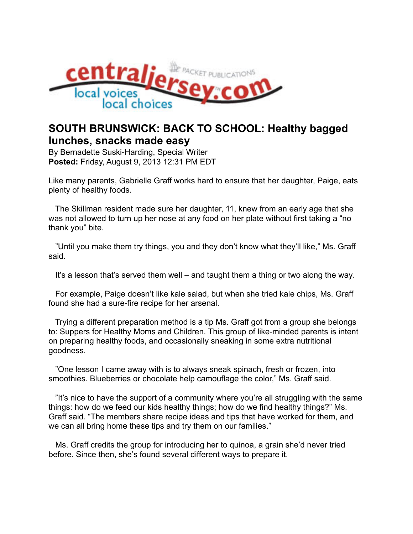

## **SOUTH BRUNSWICK: BACK TO SCHOOL: Healthy bagged lunches, snacks made easy**

By Bernadette Suski-Harding, Special Writer **Posted:** Friday, August 9, 2013 12:31 PM EDT

Like many parents, Gabrielle Graff works hard to ensure that her daughter, Paige, eats plenty of healthy foods.

 The Skillman resident made sure her daughter, 11, knew from an early age that she was not allowed to turn up her nose at any food on her plate without first taking a "no thank you" bite.

 "Until you make them try things, you and they don't know what they'll like," Ms. Graff said.

It's a lesson that's served them well – and taught them a thing or two along the way.

 For example, Paige doesn't like kale salad, but when she tried kale chips, Ms. Graff found she had a sure-fire recipe for her arsenal.

 Trying a different preparation method is a tip Ms. Graff got from a group she belongs to: Suppers for Healthy Moms and Children. This group of like-minded parents is intent on preparing healthy foods, and occasionally sneaking in some extra nutritional goodness.

 "One lesson I came away with is to always sneak spinach, fresh or frozen, into smoothies. Blueberries or chocolate help camouflage the color," Ms. Graff said.

 "It's nice to have the support of a community where you're all struggling with the same things: how do we feed our kids healthy things; how do we find healthy things?" Ms. Graff said. "The members share recipe ideas and tips that have worked for them, and we can all bring home these tips and try them on our families."

 Ms. Graff credits the group for introducing her to quinoa, a grain she'd never tried before. Since then, she's found several different ways to prepare it.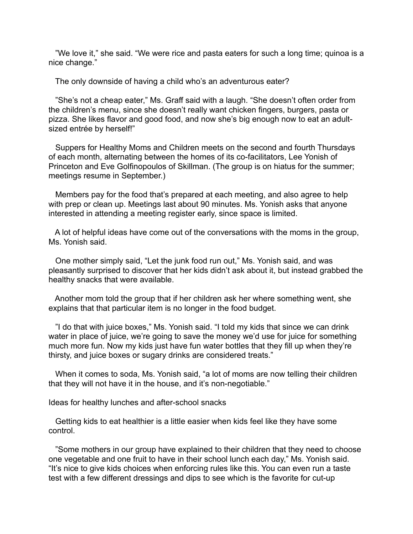"We love it," she said. "We were rice and pasta eaters for such a long time; quinoa is a nice change."

The only downside of having a child who's an adventurous eater?

 "She's not a cheap eater," Ms. Graff said with a laugh. "She doesn't often order from the children's menu, since she doesn't really want chicken fingers, burgers, pasta or pizza. She likes flavor and good food, and now she's big enough now to eat an adultsized entrée by herself!"

 Suppers for Healthy Moms and Children meets on the second and fourth Thursdays of each month, alternating between the homes of its co-facilitators, Lee Yonish of Princeton and Eve Golfinopoulos of Skillman. (The group is on hiatus for the summer; meetings resume in September.)

 Members pay for the food that's prepared at each meeting, and also agree to help with prep or clean up. Meetings last about 90 minutes. Ms. Yonish asks that anyone interested in attending a meeting register early, since space is limited.

 A lot of helpful ideas have come out of the conversations with the moms in the group, Ms. Yonish said.

 One mother simply said, "Let the junk food run out," Ms. Yonish said, and was pleasantly surprised to discover that her kids didn't ask about it, but instead grabbed the healthy snacks that were available.

 Another mom told the group that if her children ask her where something went, she explains that that particular item is no longer in the food budget.

 "I do that with juice boxes," Ms. Yonish said. "I told my kids that since we can drink water in place of juice, we're going to save the money we'd use for juice for something much more fun. Now my kids just have fun water bottles that they fill up when they're thirsty, and juice boxes or sugary drinks are considered treats."

 When it comes to soda, Ms. Yonish said, "a lot of moms are now telling their children that they will not have it in the house, and it's non-negotiable."

Ideas for healthy lunches and after-school snacks

 Getting kids to eat healthier is a little easier when kids feel like they have some control.

 "Some mothers in our group have explained to their children that they need to choose one vegetable and one fruit to have in their school lunch each day," Ms. Yonish said. "It's nice to give kids choices when enforcing rules like this. You can even run a taste test with a few different dressings and dips to see which is the favorite for cut-up